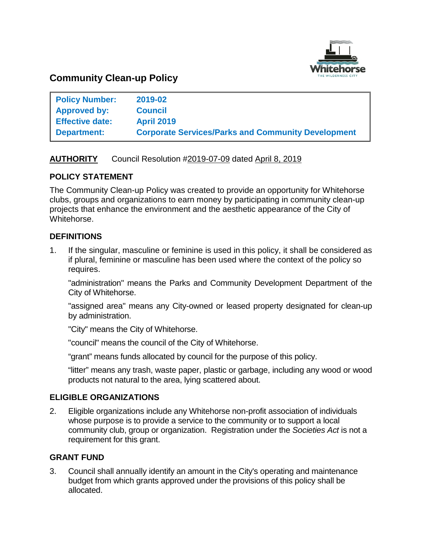

# **Community Clean-up Policy**

| <b>Policy Number:</b>  | 2019-02                                                   |
|------------------------|-----------------------------------------------------------|
| <b>Approved by:</b>    | <b>Council</b>                                            |
| <b>Effective date:</b> | <b>April 2019</b>                                         |
| <b>Department:</b>     | <b>Corporate Services/Parks and Community Development</b> |

## **AUTHORITY** Council Resolution #2019-07-09 dated April 8, 2019

## **POLICY STATEMENT**

The Community Clean-up Policy was created to provide an opportunity for Whitehorse clubs, groups and organizations to earn money by participating in community clean-up projects that enhance the environment and the aesthetic appearance of the City of Whitehorse.

## **DEFINITIONS**

1. If the singular, masculine or feminine is used in this policy, it shall be considered as if plural, feminine or masculine has been used where the context of the policy so requires.

"administration" means the Parks and Community Development Department of the City of Whitehorse.

"assigned area" means any City-owned or leased property designated for clean-up by administration.

"City" means the City of Whitehorse.

"council" means the council of the City of Whitehorse.

"grant" means funds allocated by council for the purpose of this policy.

"litter" means any trash, waste paper, plastic or garbage, including any wood or wood products not natural to the area, lying scattered about.

### **ELIGIBLE ORGANIZATIONS**

2. Eligible organizations include any Whitehorse non-profit association of individuals whose purpose is to provide a service to the community or to support a local community club, group or organization. Registration under the *Societies Act* is not a requirement for this grant.

### **GRANT FUND**

3. Council shall annually identify an amount in the City's operating and maintenance budget from which grants approved under the provisions of this policy shall be allocated.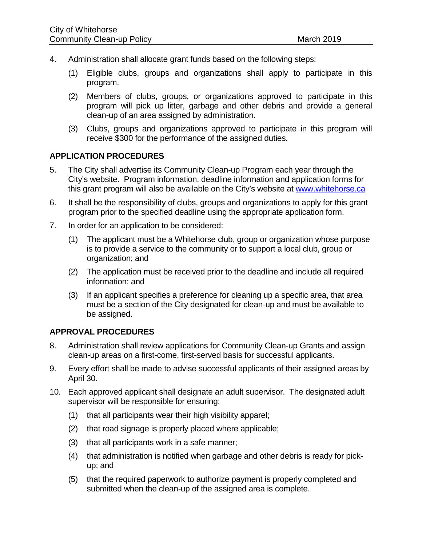- 4. Administration shall allocate grant funds based on the following steps:
	- (1) Eligible clubs, groups and organizations shall apply to participate in this program.
	- (2) Members of clubs, groups, or organizations approved to participate in this program will pick up litter, garbage and other debris and provide a general clean-up of an area assigned by administration.
	- (3) Clubs, groups and organizations approved to participate in this program will receive \$300 for the performance of the assigned duties.

### **APPLICATION PROCEDURES**

- 5. The City shall advertise its Community Clean-up Program each year through the City's website. Program information, deadline information and application forms for this grant program will also be available on the City's website at [www.whitehorse.ca](http://www.whitehorse.ca/)
- 6. It shall be the responsibility of clubs, groups and organizations to apply for this grant program prior to the specified deadline using the appropriate application form.
- 7. In order for an application to be considered:
	- (1) The applicant must be a Whitehorse club, group or organization whose purpose is to provide a service to the community or to support a local club, group or organization; and
	- (2) The application must be received prior to the deadline and include all required information; and
	- (3) If an applicant specifies a preference for cleaning up a specific area, that area must be a section of the City designated for clean-up and must be available to be assigned.

### **APPROVAL PROCEDURES**

- 8. Administration shall review applications for Community Clean-up Grants and assign clean-up areas on a first-come, first-served basis for successful applicants.
- 9. Every effort shall be made to advise successful applicants of their assigned areas by April 30.
- 10. Each approved applicant shall designate an adult supervisor. The designated adult supervisor will be responsible for ensuring:
	- (1) that all participants wear their high visibility apparel;
	- (2) that road signage is properly placed where applicable;
	- (3) that all participants work in a safe manner;
	- (4) that administration is notified when garbage and other debris is ready for pickup; and
	- (5) that the required paperwork to authorize payment is properly completed and submitted when the clean-up of the assigned area is complete.